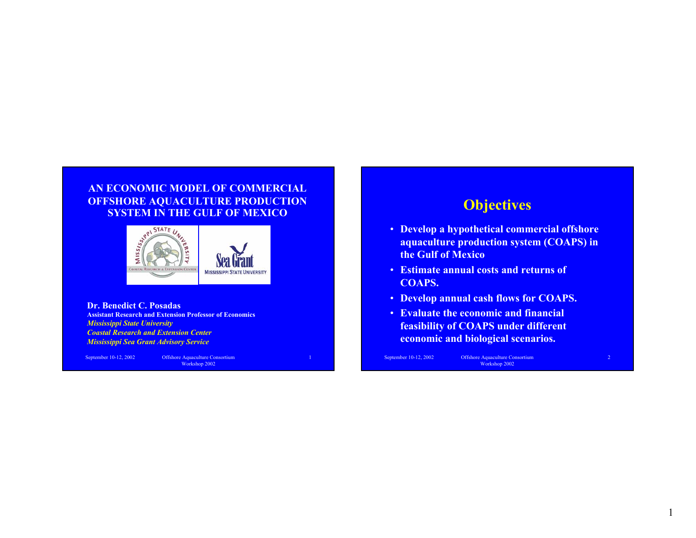#### **AN ECONOMIC MODEL OF COMMERCIAL OFFSHORE AQUACULTURE PRODUCTION SYSTEM IN THE GULF OF MEXICO**



**Dr. Benedict C. PosadasAssistant Research and Extension Professor of Economics***Mississippi State University Coastal Research and Extension Center Mississippi Sea Grant Advisory Service*

September 10-12, 2002 Offshore Aquaculture Consortium Workshop 2002

# **Objectives**

- **Develop a hypothetical commercial offshore aquaculture production system (COAPS) in the Gulf of Mexico**
- **Estimate annual costs and returns of COAPS.**
- **Develop annual cash flows for COAPS.**
- **Evaluate the economic and financial feasibility of COAPS under different economic and biological scenarios.**

September 10-12, 2002 Offshore Aquaculture Consortium Workshop 2002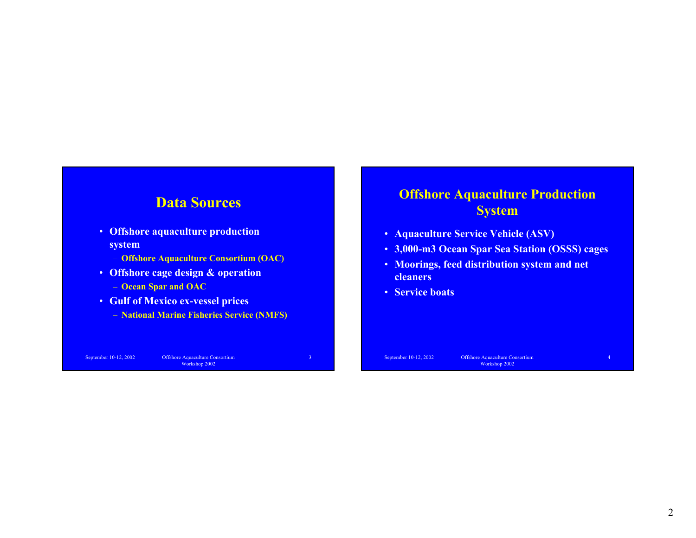#### **Data Sources**

- **Offshore aquaculture production system**
	- **Offshore Aquaculture Consortium (OAC)**
- **Offshore cage design & operation**
	- **Ocean Spar and OAC**
- **Gulf of Mexico ex-vessel prices**
	- **National Marine Fisheries Service (NMFS)**

September 10-12, 2002 Offshore Aquaculture Consortium Workshop 2002

# **Offshore Aquaculture Production System**

- **Aquaculture Service Vehicle (ASV)**
- **3,000-m3 Ocean Spar Sea Station (OSSS) cages**
- **Moorings, feed distribution system and net cleaners**
- **Service boats**

September 10-12, 2002 Offshore Aquaculture Consortium Workshop 2002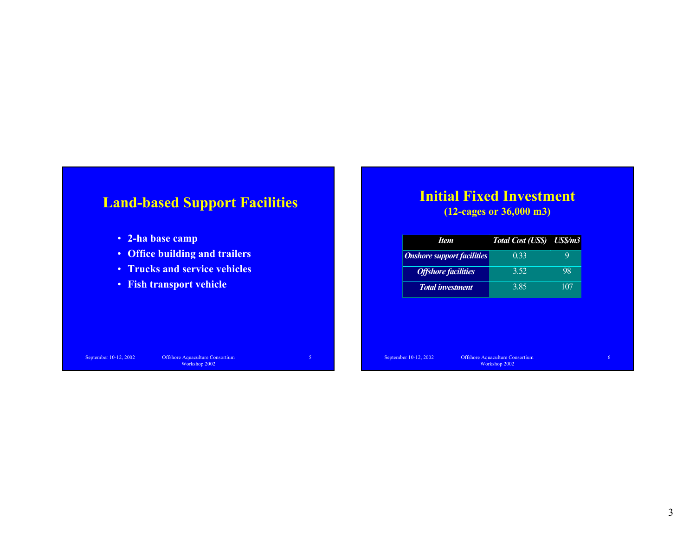# **Land-based Support Facilities**

- **2-ha base camp**
- **Office building and trailers**
- **Trucks and service vehicles**
- **Fish transport vehicle**

### **Initial Fixed Investment**

**(12-cages or 36,000 m3)**

| Item                              | Total Cost (US\$) US\$/m3 |     |
|-----------------------------------|---------------------------|-----|
| <b>Onshore support facilities</b> | 0.33                      |     |
| <b>Offshore facilities</b>        | 3.52                      | 98  |
| <b>Total investment</b>           | 3.85                      | 107 |

September 10-12, 2002 Offshore Aquaculture Consortium Workshop 2002

September 10-12, 2002 Offshore Aquaculture Consortium Workshop 2002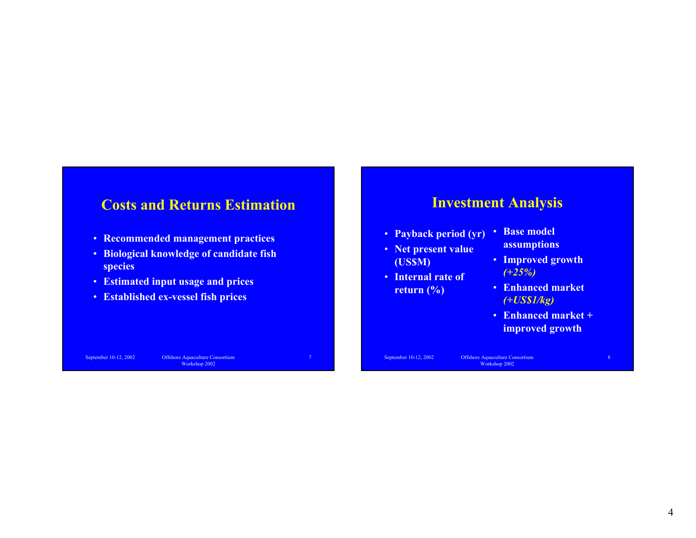# **Costs and Returns Estimation**

- **Recommended management practices**
- **Biological knowledge of candidate fish species**
- **Estimated input usage and prices**
- **Established ex-vessel fish prices**

### **Investment Analysis**

- **Payback period (yr)**
- **Net present value (US\$M)**
- **Internal rate of return (%)**
- **Base model assumptions**
- **Improved growth**  *(+25%)*
- **Enhanced market**  *(+US\$1/kg)*
- **Enhanced market + improved growth**

September 10-12, 2002 Offshore Aquaculture Consortium Workshop 2002

September 10-12, 2002 Offshore Aquaculture Consortium Workshop 2002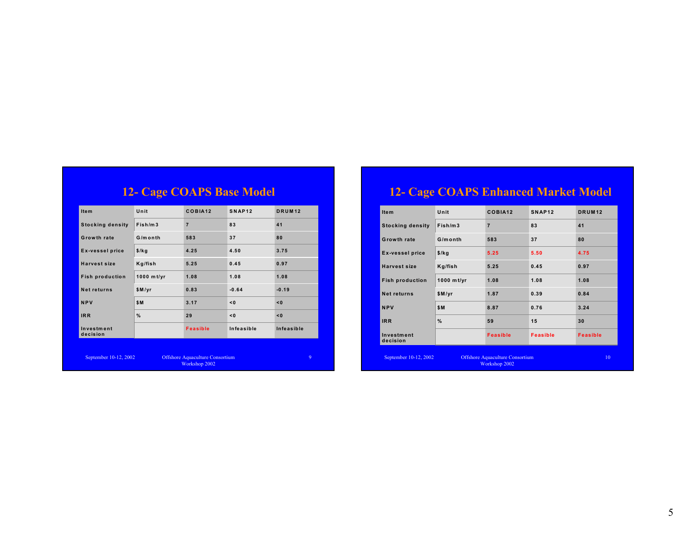| <b>12- Cage COAPS Base Model</b> |            |                 |                    |               |
|----------------------------------|------------|-----------------|--------------------|---------------|
| <b>Item</b>                      | Unit       | COBIA12         | SNAP <sub>12</sub> | <b>DRUM12</b> |
| <b>Stocking density</b>          | Fish/m3    | $\overline{7}$  | 83                 | 41            |
| Growth rate                      | G/month    | 583             | 37                 | 80            |
| <b>Ex-vessel price</b>           | $$$ /kg    | 4.25            | 4.50               | 3.75          |
| Harvest size                     | Kg/fish    | 5.25            | 0.45               | 0.97          |
| <b>Fish production</b>           | 1000 mt/yr | 1.08            | 1.08               | 1.08          |
| Net returns                      | $$$ M/yr   | 0.83            | $-0.64$            | $-0.19$       |
| <b>NPV</b>                       | \$M        | 3.17            | < 0                | < 0           |
| <b>IRR</b>                       | %          | 29              | < 0                | < 0           |
| Investment<br>decision           |            | <b>Feasible</b> | Infeasible         | Infeasible    |
|                                  |            |                 |                    |               |

September 10-12, 2002 Offshore Aquaculture Consortium Workshop 2002

# **12- Cage COAPS Enhanced Market Model**

| <b>Item</b>                                                                      | Unit       | COBIA12         | SNAP <sub>12</sub> | <b>DRUM12</b>   |
|----------------------------------------------------------------------------------|------------|-----------------|--------------------|-----------------|
| <b>Stocking density</b>                                                          | Fish/m3    | $\overline{7}$  | 83                 | 41              |
| Growth rate                                                                      | G/month    | 583             | 37                 | 80              |
| <b>Ex-vessel price</b>                                                           | $$$ /kg    | 5.25            | 5.50               | 4.75            |
| <b>Harvest size</b>                                                              | Kg/fish    | 5.25            | 0.45               | 0.97            |
| <b>Fish production</b>                                                           | 1000 mt/yr | 1.08            | 1.08               | 1.08            |
| <b>Net returns</b>                                                               | \$M/yr     | 1.87            | 0.39               | 0.84            |
| <b>NPV</b>                                                                       | \$M        | 8.87            | 0.76               | 3.24            |
| <b>IRR</b>                                                                       | %          | 59              | 15                 | 30              |
| Investment<br>decision                                                           |            | <b>Feasible</b> | <b>Feasible</b>    | <b>Feasible</b> |
| September 10-12, 2002<br><b>Offshore Aquaculture Consortium</b><br>Workshop 2002 |            |                 | 10                 |                 |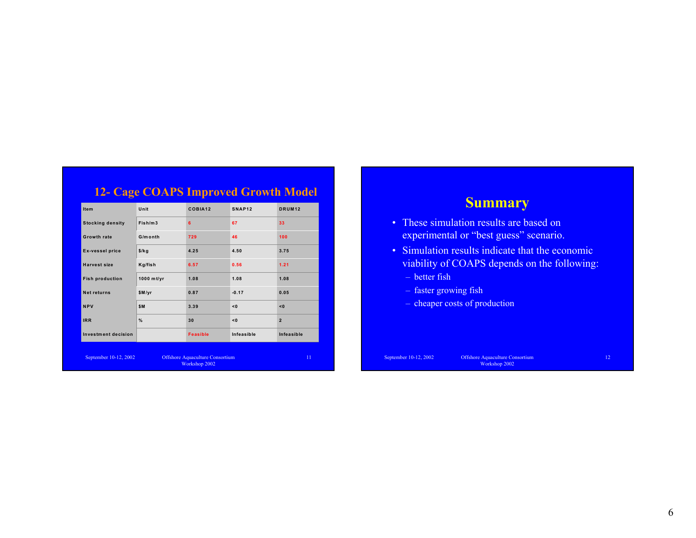|                            | <b>12- Cage COAPS Improved Growth Model</b> |                                                         |                    |                    |
|----------------------------|---------------------------------------------|---------------------------------------------------------|--------------------|--------------------|
| <b>Item</b>                | Unit                                        | COBIA12                                                 | SNAP <sub>12</sub> | DRUM <sub>12</sub> |
| <b>Stocking density</b>    | Fish/m3                                     | 6                                                       | 67                 | 33                 |
| <b>Growth rate</b>         | G/month                                     | 729                                                     | 46                 | 100                |
| <b>Ex-vessel price</b>     | $$$ /kg                                     | 4.25                                                    | 4.50               | 3.75               |
| <b>Harvest size</b>        | Kg/fish                                     | 6.57                                                    | 0.56               | 1.21               |
| <b>Fish production</b>     | 1000 mt/yr                                  | 1.08                                                    | 1.08               | 1.08               |
| Net returns                | \$M/yr                                      | 0.87                                                    | $-0.17$            | 0.05               |
| <b>NPV</b>                 | \$M                                         | 3.39                                                    | < 0                | < 0                |
| <b>IRR</b>                 | %                                           | 30                                                      | < 0                | $\overline{2}$     |
| <b>Investment decision</b> |                                             | <b>Feasible</b>                                         | Infeasible         | Infeasible         |
| September 10-12, 2002      |                                             | <b>Offshore Aquaculture Consortium</b><br>Workshop 2002 |                    | 11                 |

# **Summary**

- These simulation results are based on experimental or "best guess" scenario.
- Simulation results indicate that the economic viability of COAPS depends on the following:
	- better fish
	- faster growing fish
	- cheaper costs of production

September 10-12, 2002 Offshore Aquaculture Consortium Workshop 2002